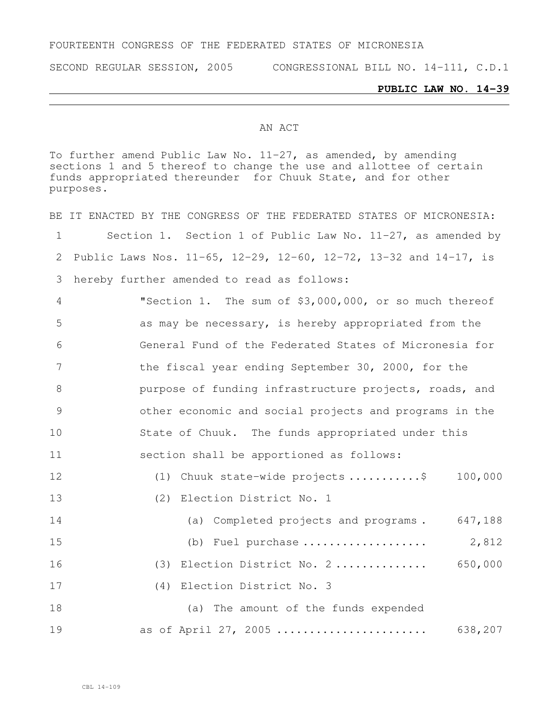## FOURTEENTH CONGRESS OF THE FEDERATED STATES OF MICRONESIA

SECOND REGULAR SESSION, 2005 CONGRESSIONAL BILL NO. 14-111, C.D.1

## **PUBLIC LAW NO. 14-39**

## AN ACT

To further amend Public Law No. 11-27, as amended, by amending sections 1 and 5 thereof to change the use and allottee of certain funds appropriated thereunder for Chuuk State, and for other purposes.

|                | BE IT ENACTED BY THE CONGRESS OF THE FEDERATED STATES OF MICRONESIA: |
|----------------|----------------------------------------------------------------------|
| 1              | Section 1. Section 1 of Public Law No. 11-27, as amended by          |
| 2              | Public Laws Nos. 11-65, 12-29, 12-60, 12-72, 13-32 and 14-17, is     |
| 3              | hereby further amended to read as follows:                           |
| 4              | "Section 1. The sum of \$3,000,000, or so much thereof               |
| 5              | as may be necessary, is hereby appropriated from the                 |
| 6              | General Fund of the Federated States of Micronesia for               |
| 7              | the fiscal year ending September 30, 2000, for the                   |
| 8              | purpose of funding infrastructure projects, roads, and               |
| $\overline{9}$ | other economic and social projects and programs in the               |
| 10             | State of Chuuk. The funds appropriated under this                    |
| 11             | section shall be apportioned as follows:                             |
| 12             | (1) Chuuk state-wide projects \$ 100,000                             |
| 13             | (2) Election District No. 1                                          |
| 14             | (a) Completed projects and programs. 647,188                         |
| 15             | (b) Fuel purchase $2,812$                                            |
| 16             | (3) Election District No. 2 650,000                                  |
| 17             | (4) Election District No. 3                                          |
| 18             | (a) The amount of the funds expended                                 |
| 19             | as of April 27, 2005<br>638,207                                      |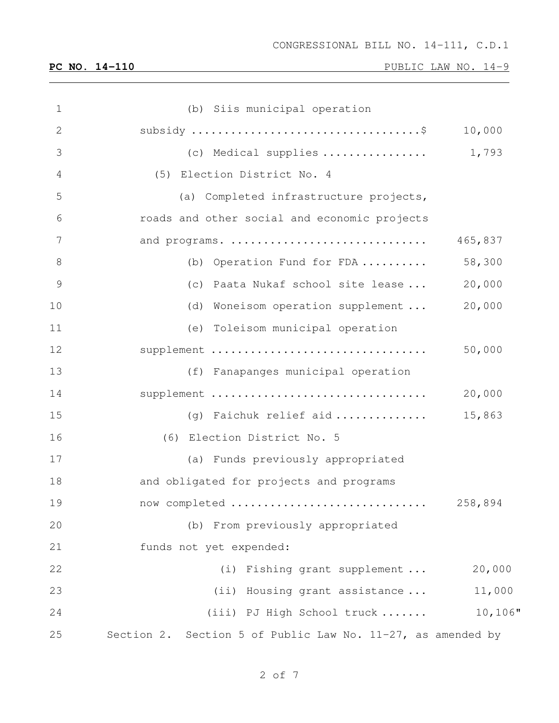| $\mathbf 1$   | (b) Siis municipal operation                                    |             |
|---------------|-----------------------------------------------------------------|-------------|
| $\mathbf{2}$  |                                                                 | 10,000      |
| 3             | (c) Medical supplies $\ldots \ldots \ldots \ldots \ldots$ 1,793 |             |
| 4             | (5) Election District No. 4                                     |             |
| 5             | (a) Completed infrastructure projects,                          |             |
| 6             | roads and other social and economic projects                    |             |
| 7             | and programs.                                                   | 465,837     |
| 8             | (b) Operation Fund for FDA                                      | 58,300      |
| $\mathcal{G}$ | (c) Paata Nukaf school site lease                               | 20,000      |
| 10            | (d) Woneisom operation supplement                               | 20,000      |
| 11            | (e) Toleisom municipal operation                                |             |
| 12            | supplement                                                      | 50,000      |
| 13            | (f) Fanapanges municipal operation                              |             |
| 14            | supplement                                                      | 20,000      |
| 15            | (g) Faichuk relief aid                                          | 15,863      |
| 16            | (6) Election District No. 5                                     |             |
| 17            | (a) Funds previously appropriated                               |             |
| 18            | and obligated for projects and programs                         |             |
| 19            | now completed                                                   | 258,894     |
| 20            | (b) From previously appropriated                                |             |
| 21            | funds not yet expended:                                         |             |
| 22            | (i) Fishing grant supplement                                    | 20,000      |
| 23            | (ii) Housing grant assistance                                   | 11,000      |
| 24            | (iii) PJ High School truck                                      | $10, 106$ " |
| 25            | Section 2. Section 5 of Public Law No. 11-27, as amended by     |             |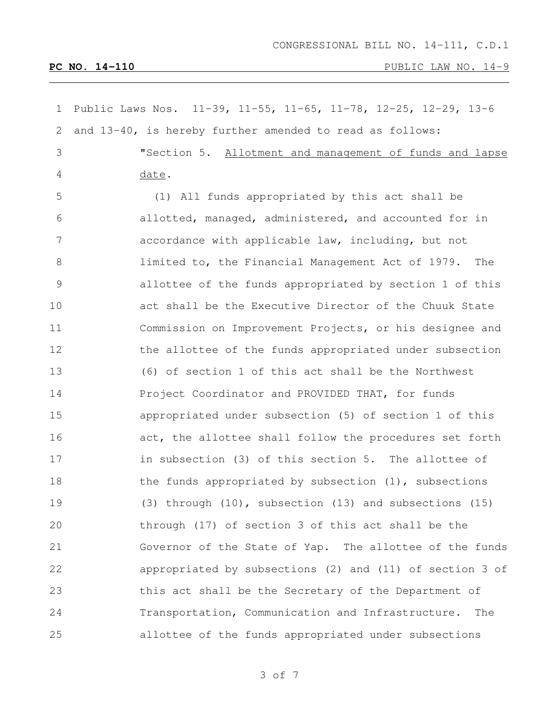| 1             | Public Laws Nos. 11-39, 11-55, 11-65, 11-78, 12-25, 12-29, 13-6 |
|---------------|-----------------------------------------------------------------|
| 2             | and 13-40, is hereby further amended to read as follows:        |
| 3             | "Section 5. Allotment and management of funds and lapse         |
| 4             | date.                                                           |
| 5             | (1) All funds appropriated by this act shall be                 |
| 6             | allotted, managed, administered, and accounted for in           |
| 7             | accordance with applicable law, including, but not              |
| 8             | limited to, the Financial Management Act of 1979.<br>The        |
| $\mathcal{G}$ | allottee of the funds appropriated by section 1 of this         |
| 10            | act shall be the Executive Director of the Chuuk State          |
| 11            | Commission on Improvement Projects, or his designee and         |
| 12            | the allottee of the funds appropriated under subsection         |
| 13            | (6) of section 1 of this act shall be the Northwest             |
| 14            | Project Coordinator and PROVIDED THAT, for funds                |
| 15            | appropriated under subsection (5) of section 1 of this          |
| 16            | act, the allottee shall follow the procedures set forth         |
| 17            | in subsection (3) of this section 5. The allottee of            |
| 18            | the funds appropriated by subsection $(1)$ , subsections        |
| 19            | (3) through (10), subsection (13) and subsections (15)          |
| 20            | through (17) of section 3 of this act shall be the              |
| 21            | Governor of the State of Yap. The allottee of the funds         |
| 22            | appropriated by subsections (2) and (11) of section 3 of        |
| 23            | this act shall be the Secretary of the Department of            |
| 24            | Transportation, Communication and Infrastructure.<br>The        |
| 25            | allottee of the funds appropriated under subsections            |

of 7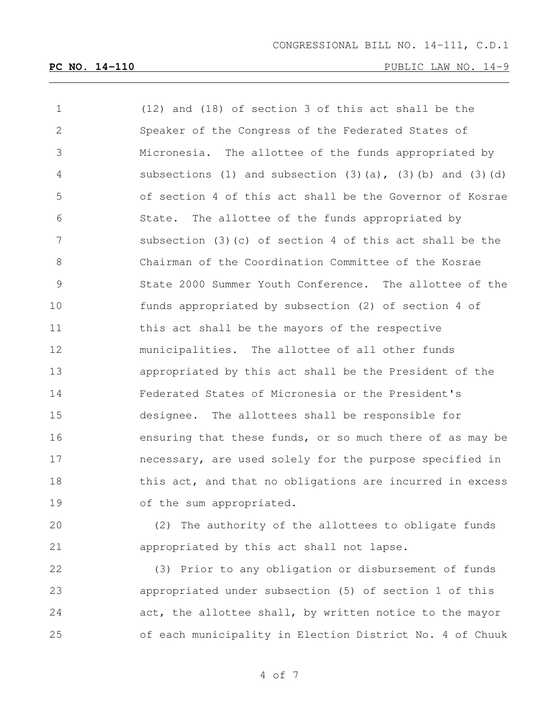| $\mathbf 1$    | (12) and (18) of section 3 of this act shall be the        |
|----------------|------------------------------------------------------------|
| 2              | Speaker of the Congress of the Federated States of         |
| 3              | Micronesia. The allottee of the funds appropriated by      |
| 4              | subsections (1) and subsection (3)(a), (3)(b) and (3)(d)   |
| 5              | of section 4 of this act shall be the Governor of Kosrae   |
| 6              | State. The allottee of the funds appropriated by           |
| 7              | subsection $(3)$ (c) of section 4 of this act shall be the |
| 8              | Chairman of the Coordination Committee of the Kosrae       |
| $\overline{9}$ | State 2000 Summer Youth Conference. The allottee of the    |
| 10             | funds appropriated by subsection (2) of section 4 of       |
| 11             | this act shall be the mayors of the respective             |
| 12             | municipalities. The allottee of all other funds            |
| 13             | appropriated by this act shall be the President of the     |
| 14             | Federated States of Micronesia or the President's          |
| 15             | designee. The allottees shall be responsible for           |
| 16             | ensuring that these funds, or so much there of as may be   |
| 17             | necessary, are used solely for the purpose specified in    |
| 18             | this act, and that no obligations are incurred in excess   |
| 19             | of the sum appropriated.                                   |

 (2) The authority of the allottees to obligate funds appropriated by this act shall not lapse.

 (3) Prior to any obligation or disbursement of funds appropriated under subsection (5) of section 1 of this act, the allottee shall, by written notice to the mayor of each municipality in Election District No. 4 of Chuuk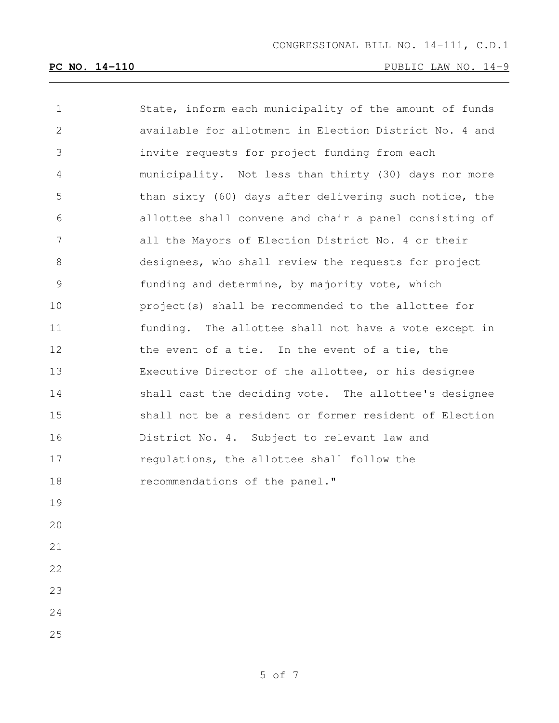| 1               | State, inform each municipality of the amount of funds |
|-----------------|--------------------------------------------------------|
| 2               | available for allotment in Election District No. 4 and |
| 3               | invite requests for project funding from each          |
| 4               | municipality. Not less than thirty (30) days nor more  |
| 5               | than sixty (60) days after delivering such notice, the |
| 6               | allottee shall convene and chair a panel consisting of |
| $7\phantom{.0}$ | all the Mayors of Election District No. 4 or their     |
| $8\,$           | designees, who shall review the requests for project   |
| 9               | funding and determine, by majority vote, which         |
| 10              | project(s) shall be recommended to the allottee for    |
| 11              | funding. The allottee shall not have a vote except in  |
| 12              | the event of a tie. In the event of a tie, the         |
| 13              | Executive Director of the allottee, or his designee    |
| 14              | shall cast the deciding vote. The allottee's designee  |
| 15              | shall not be a resident or former resident of Election |
| 16              | District No. 4. Subject to relevant law and            |
| 17              | regulations, the allottee shall follow the             |
| 18              | recommendations of the panel."                         |
| 19              |                                                        |
| 20              |                                                        |
| 21              |                                                        |
| 22              |                                                        |
| 23              |                                                        |
| 24              |                                                        |
| 25              |                                                        |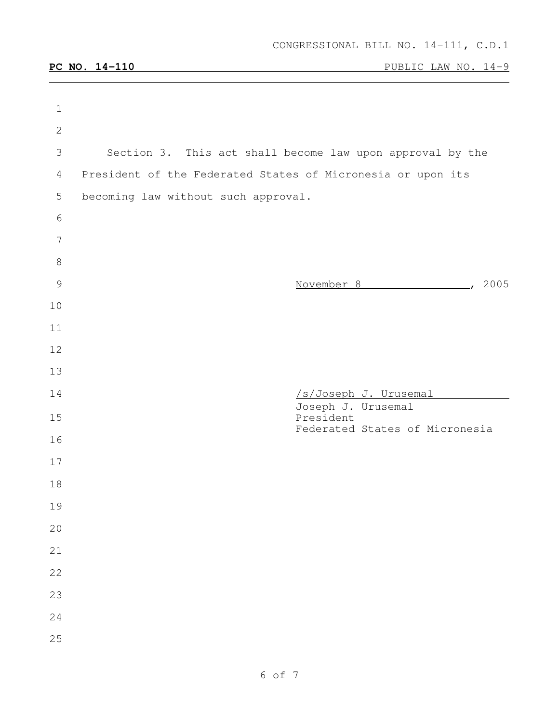| $\mathbf 1$     |                                                             |
|-----------------|-------------------------------------------------------------|
| $\mathbf{2}$    |                                                             |
| 3               | Section 3. This act shall become law upon approval by the   |
| 4               | President of the Federated States of Micronesia or upon its |
| 5               | becoming law without such approval.                         |
| 6               |                                                             |
| $7\phantom{.0}$ |                                                             |
| $8\,$           |                                                             |
| $\mathcal{G}$   | November 8 (2005)                                           |
| 10              |                                                             |
| 11              |                                                             |
| 12              |                                                             |
| 13              |                                                             |
| 14              | /s/Joseph J. Urusemal                                       |
| 15              | Joseph J. Urusemal<br>President                             |
| 16              | Federated States of Micronesia                              |
| 17              |                                                             |
| 18              |                                                             |
| 19              |                                                             |
| 20              |                                                             |
| 21              |                                                             |
| 22              |                                                             |
| 23              |                                                             |
| 24              |                                                             |
| 25              |                                                             |